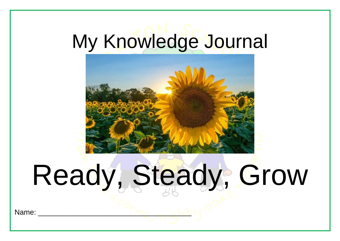## My Knowledge Journal



## Ready, Steady, Grow

Name: \_\_\_\_\_\_\_\_\_\_\_\_\_\_\_\_\_\_\_\_\_\_\_\_\_\_\_\_\_\_\_\_\_\_\_\_\_\_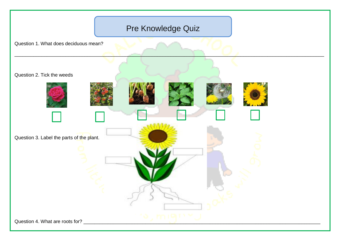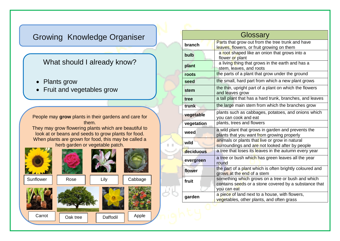## Growing Knowledge Organiser

## What should I already know?

- Plants grow
- Fruit and vegetables grow

People may **grow** plants in their gardens and care for them.

They may grow flowering plants which are beautiful to look at or beans and seeds to grow plants for food. When plants are grown for food, this may be called a herb garden or vegetable patch.



| Glossary   |                                                                                                                           |
|------------|---------------------------------------------------------------------------------------------------------------------------|
| branch     | Parts that grow out from the tree trunk and have<br>leaves, flowers, or fruit growing on them                             |
| bulb       | a root shaped like an onion that grows into a<br>flower or plant                                                          |
| plant      | a living thing that grows in the earth and has a<br>stem, leaves, and roots                                               |
| roots      | the parts of a plant that grow under the ground                                                                           |
| seed       | the small, hard part from which a new plant grows                                                                         |
| stem       | the thin, upright part of a plant on which the flowers<br>and leaves grow                                                 |
| tree       | a tall plant that has a hard trunk, branches, and leaves                                                                  |
| trunk      | the large main stem from which the branches grow                                                                          |
| vegetable  | plants such as cabbages, potatoes, and onions which<br>you can cook and eat                                               |
| vegetation | plants, trees and flowers                                                                                                 |
| weed       | a wild plant that grows in garden and prevents the<br>plants that you want from growing properly                          |
| wild       | animals or plants that live or grow in natural<br>surroundings and are not looked after by people                         |
| deciduous  | a tree that loses its leaves in the autumn every year                                                                     |
| evergreen  | a tree or bush which has green leaves all the year<br>round                                                               |
| flower     | the part of a plant which is often brightly coloured and<br>grows at the end of a stem                                    |
| fruit      | something which grows on a tree or bush and which<br>contains seeds or a stone covered by a substance that<br>you can eat |
| garden     | a piece of land next to a house, with flowers,<br>vegetables, other plants, and often grass                               |
|            |                                                                                                                           |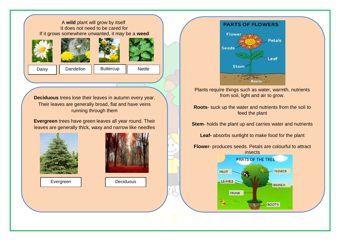